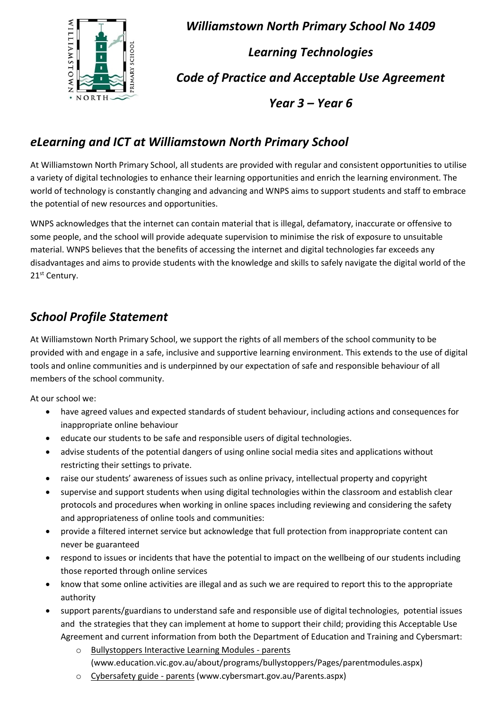

*Williamstown North Primary School No 1409 Learning Technologies Code of Practice and Acceptable Use Agreement Year 3 – Year 6*

### *eLearning and ICT at Williamstown North Primary School*

At Williamstown North Primary School, all students are provided with regular and consistent opportunities to utilise a variety of digital technologies to enhance their learning opportunities and enrich the learning environment. The world of technology is constantly changing and advancing and WNPS aims to support students and staff to embrace the potential of new resources and opportunities.

WNPS acknowledges that the internet can contain material that is illegal, defamatory, inaccurate or offensive to some people, and the school will provide adequate supervision to minimise the risk of exposure to unsuitable material. WNPS believes that the benefits of accessing the internet and digital technologies far exceeds any disadvantages and aims to provide students with the knowledge and skills to safely navigate the digital world of the 21<sup>st</sup> Century.

### *School Profile Statement*

At Williamstown North Primary School, we support the rights of all members of the school community to be provided with and engage in a safe, inclusive and supportive learning environment. This extends to the use of digital tools and online communities and is underpinned by our expectation of safe and responsible behaviour of all members of the school community.

At our school we:

- have agreed values and expected standards of student behaviour, including actions and consequences for inappropriate online behaviour
- educate our students to be safe and responsible users of digital technologies.
- advise students of the potential dangers of using online social media sites and applications without restricting their settings to private.
- raise our students' awareness of issues such as online privacy, intellectual property and copyright
- supervise and support students when using digital technologies within the classroom and establish clear protocols and procedures when working in online spaces including reviewing and considering the safety and appropriateness of online tools and communities:
- provide a filtered internet service but acknowledge that full protection from inappropriate content can never be guaranteed
- respond to issues or incidents that have the potential to impact on the wellbeing of our students including those reported through online services
- know that some online activities are illegal and as such we are required to report this to the appropriate authority
- support parents/guardians to understand safe and responsible use of digital technologies, potential issues and the strategies that they can implement at home to support their child; providing this Acceptable Use Agreement and current information from both the [Department of Education and Training](http://www.education.vic.gov.au/about/programs/bullystoppers/Pages/parentmodules.aspx) and Cybersmart:
	- o [Bullystoppers Interactive Learning Modules](http://www.education.vic.gov.au/about/programs/bullystoppers/Pages/parentmodules.aspx) parents [\(www.education.vic.gov.au/about/programs/bullystoppers/Pages/parentmodules.aspx\)](http://www.education.vic.gov.au/about/programs/bullystoppers/Pages/parentmodules.aspx)
	- o Cybersafety guide parents [\(www.cybersmart.gov.au/Parents.aspx\)](http://www.cybersmart.gov.au/Parents.aspx)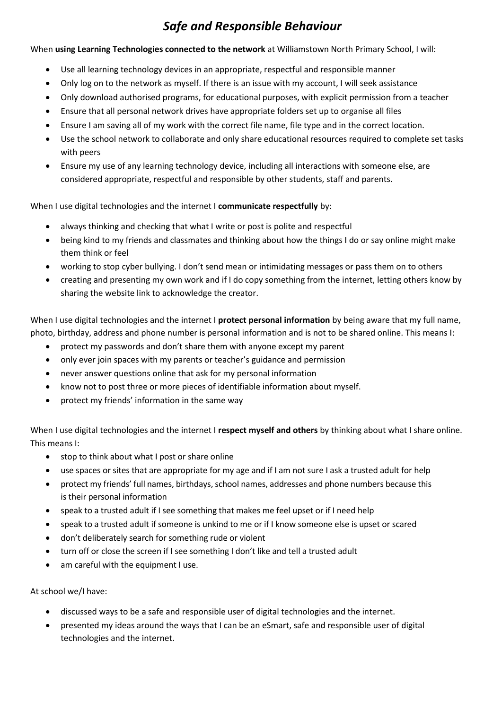### *Safe and Responsible Behaviour*

When **using Learning Technologies connected to the network** at Williamstown North Primary School, I will:

- Use all learning technology devices in an appropriate, respectful and responsible manner
- Only log on to the network as myself. If there is an issue with my account, I will seek assistance
- Only download authorised programs, for educational purposes, with explicit permission from a teacher
- Ensure that all personal network drives have appropriate folders set up to organise all files
- Ensure I am saving all of my work with the correct file name, file type and in the correct location.
- Use the school network to collaborate and only share educational resources required to complete set tasks with peers
- Ensure my use of any learning technology device, including all interactions with someone else, are considered appropriate, respectful and responsible by other students, staff and parents.

When I use digital technologies and the internet I **communicate respectfully** by:

- always thinking and checking that what I write or post is polite and respectful
- being kind to my friends and classmates and thinking about how the things I do or say online might make them think or feel
- working to stop cyber bullying. I don't send mean or intimidating messages or pass them on to others
- creating and presenting my own work and if I do copy something from the internet, letting others know by sharing the website link to acknowledge the creator.

When I use digital technologies and the internet I **protect personal information** by being aware that my full name, photo, birthday, address and phone number is personal information and is not to be shared online. This means I:

- protect my passwords and don't share them with anyone except my parent
- only ever join spaces with my parents or teacher's guidance and permission
- never answer questions online that ask for my personal information
- know not to post three or more pieces of identifiable information about myself.
- protect my friends' information in the same way

When I use digital technologies and the internet I **respect myself and others** by thinking about what I share online. This means I:

- stop to think about what I post or share online
- use spaces or sites that are appropriate for my age and if I am not sure I ask a trusted adult for help
- protect my friends' full names, birthdays, school names, addresses and phone numbers because this is their personal information
- speak to a trusted adult if I see something that makes me feel upset or if I need help
- speak to a trusted adult if someone is unkind to me or if I know someone else is upset or scared
- don't deliberately search for something rude or violent
- turn off or close the screen if I see something I don't like and tell a trusted adult
- am careful with the equipment I use.

At school we/I have:

- discussed ways to be a safe and responsible user of digital technologies and the internet.
- presented my ideas around the ways that I can be an eSmart, safe and responsible user of digital technologies and the internet.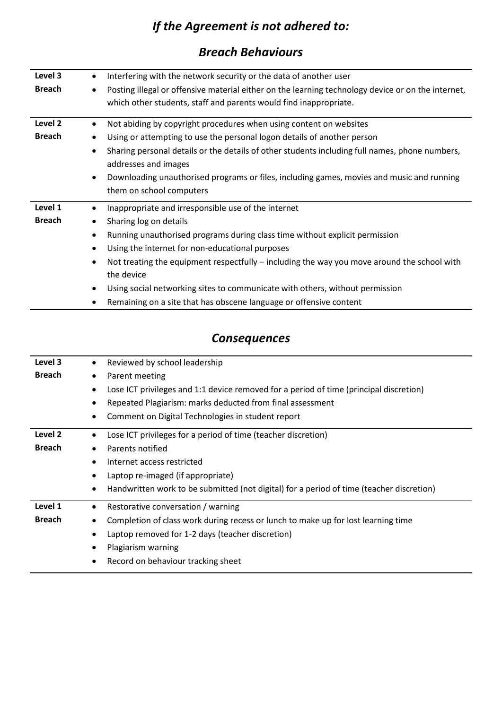# *If the Agreement is not adhered to:*

#### *Breach Behaviours*

| Level 3       | $\bullet$                                                                   | Interfering with the network security or the data of another user                                  |  |
|---------------|-----------------------------------------------------------------------------|----------------------------------------------------------------------------------------------------|--|
| <b>Breach</b> |                                                                             | Posting illegal or offensive material either on the learning technology device or on the internet, |  |
|               |                                                                             | which other students, staff and parents would find inappropriate.                                  |  |
|               |                                                                             |                                                                                                    |  |
| Level 2       |                                                                             | Not abiding by copyright procedures when using content on websites                                 |  |
| <b>Breach</b> |                                                                             | Using or attempting to use the personal logon details of another person                            |  |
|               |                                                                             | Sharing personal details or the details of other students including full names, phone numbers,     |  |
|               |                                                                             | addresses and images                                                                               |  |
|               |                                                                             | Downloading unauthorised programs or files, including games, movies and music and running          |  |
|               |                                                                             | them on school computers                                                                           |  |
| Level 1       | $\bullet$                                                                   | Inappropriate and irresponsible use of the internet                                                |  |
| <b>Breach</b> |                                                                             | Sharing log on details                                                                             |  |
|               | Running unauthorised programs during class time without explicit permission |                                                                                                    |  |
|               |                                                                             | Using the internet for non-educational purposes                                                    |  |
|               |                                                                             | Not treating the equipment respectfully - including the way you move around the school with        |  |
|               |                                                                             | the device                                                                                         |  |
|               |                                                                             | Using social networking sites to communicate with others, without permission                       |  |
|               |                                                                             | Remaining on a site that has obscene language or offensive content                                 |  |

## *Consequences*

| Level 3       | Reviewed by school leadership                                                                                         |  |
|---------------|-----------------------------------------------------------------------------------------------------------------------|--|
| <b>Breach</b> | Parent meeting<br>Lose ICT privileges and 1:1 device removed for a period of time (principal discretion)<br>$\bullet$ |  |
|               |                                                                                                                       |  |
|               | Repeated Plagiarism: marks deducted from final assessment                                                             |  |
|               | Comment on Digital Technologies in student report<br>٠                                                                |  |
| Level 2       | Lose ICT privileges for a period of time (teacher discretion)                                                         |  |
| <b>Breach</b> | Parents notified                                                                                                      |  |
|               | Internet access restricted                                                                                            |  |
|               | Laptop re-imaged (if appropriate)                                                                                     |  |
|               | Handwritten work to be submitted (not digital) for a period of time (teacher discretion)<br>٠                         |  |
| Level 1       | Restorative conversation / warning<br>$\bullet$                                                                       |  |
| <b>Breach</b> | Completion of class work during recess or lunch to make up for lost learning time                                     |  |
|               | Laptop removed for 1-2 days (teacher discretion)                                                                      |  |
|               | Plagiarism warning<br>٠                                                                                               |  |
|               | Record on behaviour tracking sheet                                                                                    |  |